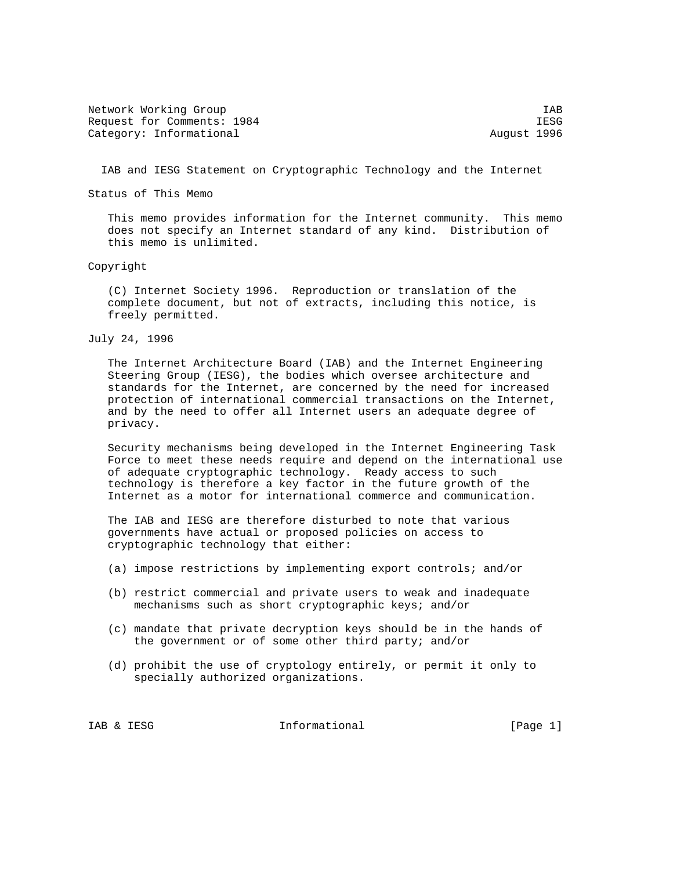Network Working Group and the set of the set of the set of the set of the set of the set of the set of the set of the set of the set of the set of the set of the set of the set of the set of the set of the set of the set o Request for Comments: 1984 IESG Category: Informational and August 1996

IAB and IESG Statement on Cryptographic Technology and the Internet

Status of This Memo

 This memo provides information for the Internet community. This memo does not specify an Internet standard of any kind. Distribution of this memo is unlimited.

Copyright

 (C) Internet Society 1996. Reproduction or translation of the complete document, but not of extracts, including this notice, is freely permitted.

July 24, 1996

 The Internet Architecture Board (IAB) and the Internet Engineering Steering Group (IESG), the bodies which oversee architecture and standards for the Internet, are concerned by the need for increased protection of international commercial transactions on the Internet, and by the need to offer all Internet users an adequate degree of privacy.

 Security mechanisms being developed in the Internet Engineering Task Force to meet these needs require and depend on the international use of adequate cryptographic technology. Ready access to such technology is therefore a key factor in the future growth of the Internet as a motor for international commerce and communication.

 The IAB and IESG are therefore disturbed to note that various governments have actual or proposed policies on access to cryptographic technology that either:

- (a) impose restrictions by implementing export controls; and/or
- (b) restrict commercial and private users to weak and inadequate mechanisms such as short cryptographic keys; and/or
- (c) mandate that private decryption keys should be in the hands of the government or of some other third party; and/or
- (d) prohibit the use of cryptology entirely, or permit it only to specially authorized organizations.

IAB & IESG informational [Page 1]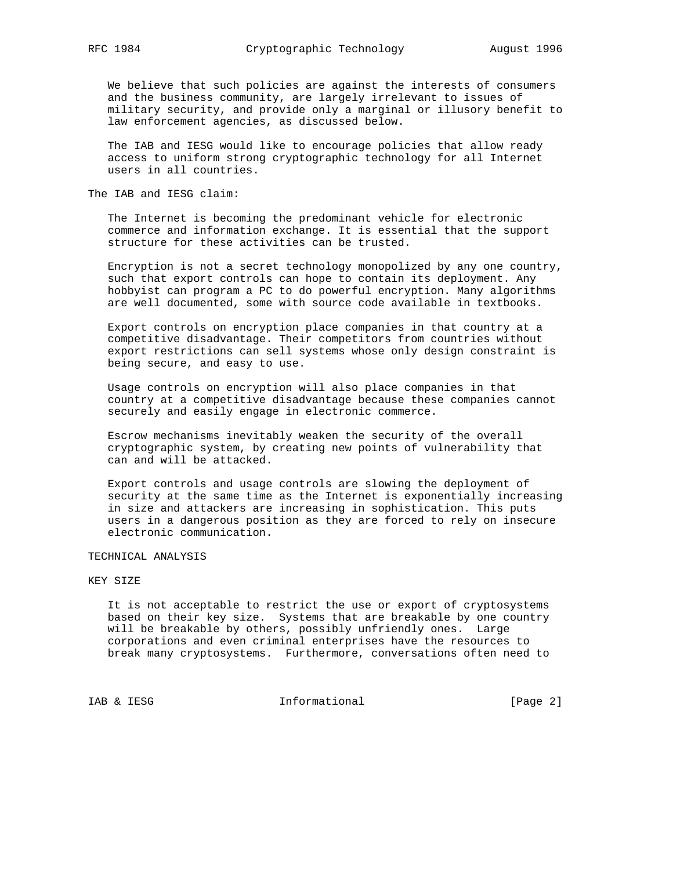We believe that such policies are against the interests of consumers and the business community, are largely irrelevant to issues of military security, and provide only a marginal or illusory benefit to law enforcement agencies, as discussed below.

 The IAB and IESG would like to encourage policies that allow ready access to uniform strong cryptographic technology for all Internet users in all countries.

The IAB and IESG claim:

 The Internet is becoming the predominant vehicle for electronic commerce and information exchange. It is essential that the support structure for these activities can be trusted.

 Encryption is not a secret technology monopolized by any one country, such that export controls can hope to contain its deployment. Any hobbyist can program a PC to do powerful encryption. Many algorithms are well documented, some with source code available in textbooks.

 Export controls on encryption place companies in that country at a competitive disadvantage. Their competitors from countries without export restrictions can sell systems whose only design constraint is being secure, and easy to use.

 Usage controls on encryption will also place companies in that country at a competitive disadvantage because these companies cannot securely and easily engage in electronic commerce.

 Escrow mechanisms inevitably weaken the security of the overall cryptographic system, by creating new points of vulnerability that can and will be attacked.

 Export controls and usage controls are slowing the deployment of security at the same time as the Internet is exponentially increasing in size and attackers are increasing in sophistication. This puts users in a dangerous position as they are forced to rely on insecure electronic communication.

TECHNICAL ANALYSIS

### KEY SIZE

 It is not acceptable to restrict the use or export of cryptosystems based on their key size. Systems that are breakable by one country will be breakable by others, possibly unfriendly ones. Large corporations and even criminal enterprises have the resources to break many cryptosystems. Furthermore, conversations often need to

IAB & IESG  $Informational$  [Page 2]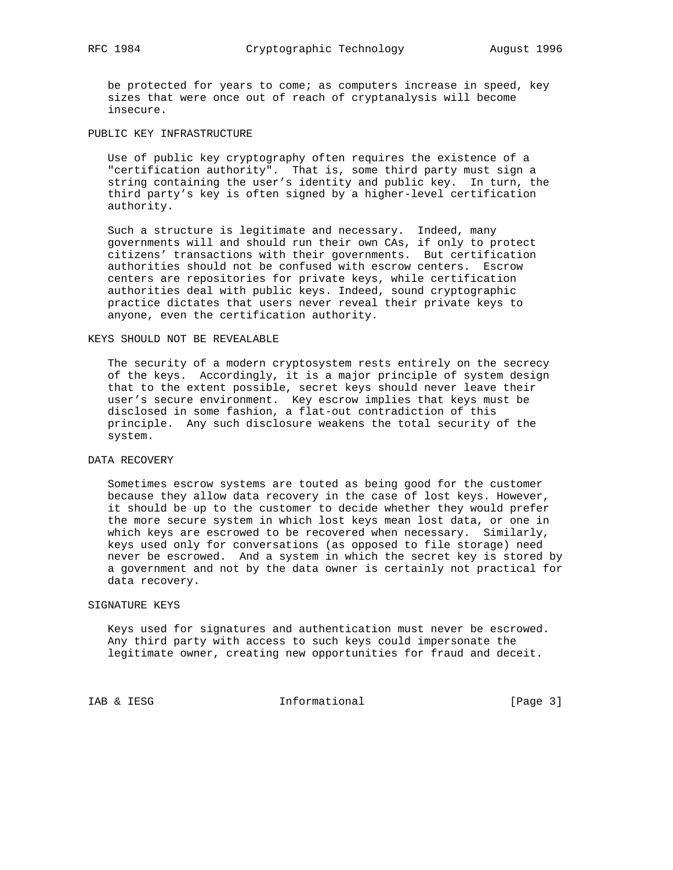be protected for years to come; as computers increase in speed, key sizes that were once out of reach of cryptanalysis will become insecure.

PUBLIC KEY INFRASTRUCTURE

 Use of public key cryptography often requires the existence of a "certification authority". That is, some third party must sign a string containing the user's identity and public key. In turn, the third party's key is often signed by a higher-level certification authority.

 Such a structure is legitimate and necessary. Indeed, many governments will and should run their own CAs, if only to protect citizens' transactions with their governments. But certification authorities should not be confused with escrow centers. Escrow centers are repositories for private keys, while certification authorities deal with public keys. Indeed, sound cryptographic practice dictates that users never reveal their private keys to anyone, even the certification authority.

### KEYS SHOULD NOT BE REVEALABLE

 The security of a modern cryptosystem rests entirely on the secrecy of the keys. Accordingly, it is a major principle of system design that to the extent possible, secret keys should never leave their user's secure environment. Key escrow implies that keys must be disclosed in some fashion, a flat-out contradiction of this principle. Any such disclosure weakens the total security of the system.

#### DATA RECOVERY

 Sometimes escrow systems are touted as being good for the customer because they allow data recovery in the case of lost keys. However, it should be up to the customer to decide whether they would prefer the more secure system in which lost keys mean lost data, or one in which keys are escrowed to be recovered when necessary. Similarly, keys used only for conversations (as opposed to file storage) need never be escrowed. And a system in which the secret key is stored by a government and not by the data owner is certainly not practical for data recovery.

#### SIGNATURE KEYS

 Keys used for signatures and authentication must never be escrowed. Any third party with access to such keys could impersonate the legitimate owner, creating new opportunities for fraud and deceit.

IAB & IESG informational [Page 3]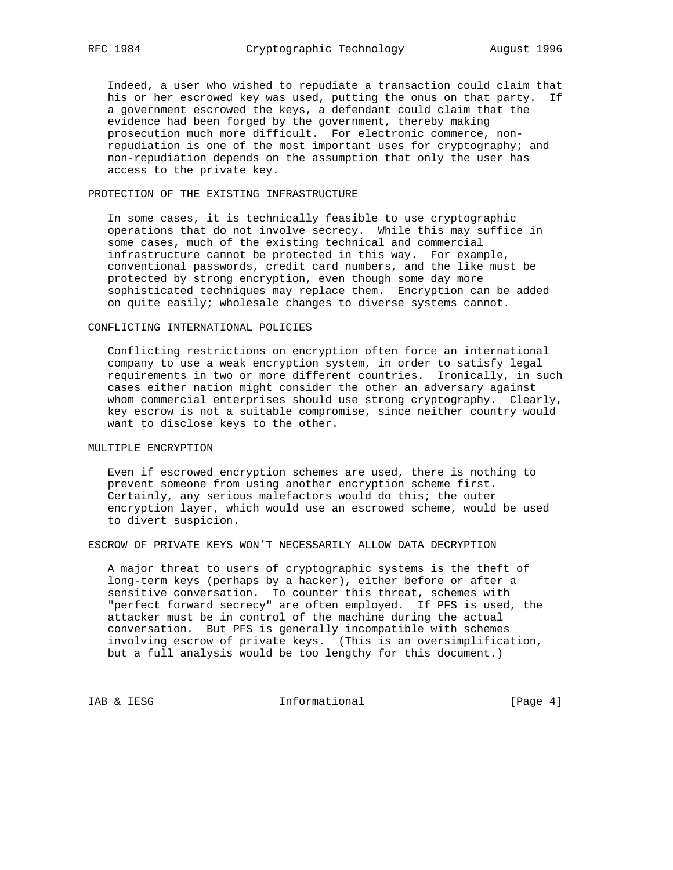Indeed, a user who wished to repudiate a transaction could claim that his or her escrowed key was used, putting the onus on that party. If a government escrowed the keys, a defendant could claim that the evidence had been forged by the government, thereby making prosecution much more difficult. For electronic commerce, non repudiation is one of the most important uses for cryptography; and non-repudiation depends on the assumption that only the user has access to the private key.

### PROTECTION OF THE EXISTING INFRASTRUCTURE

 In some cases, it is technically feasible to use cryptographic operations that do not involve secrecy. While this may suffice in some cases, much of the existing technical and commercial infrastructure cannot be protected in this way. For example, conventional passwords, credit card numbers, and the like must be protected by strong encryption, even though some day more sophisticated techniques may replace them. Encryption can be added on quite easily; wholesale changes to diverse systems cannot.

### CONFLICTING INTERNATIONAL POLICIES

 Conflicting restrictions on encryption often force an international company to use a weak encryption system, in order to satisfy legal requirements in two or more different countries. Ironically, in such cases either nation might consider the other an adversary against whom commercial enterprises should use strong cryptography. Clearly, key escrow is not a suitable compromise, since neither country would want to disclose keys to the other.

# MULTIPLE ENCRYPTION

 Even if escrowed encryption schemes are used, there is nothing to prevent someone from using another encryption scheme first. Certainly, any serious malefactors would do this; the outer encryption layer, which would use an escrowed scheme, would be used to divert suspicion.

## ESCROW OF PRIVATE KEYS WON'T NECESSARILY ALLOW DATA DECRYPTION

 A major threat to users of cryptographic systems is the theft of long-term keys (perhaps by a hacker), either before or after a sensitive conversation. To counter this threat, schemes with "perfect forward secrecy" are often employed. If PFS is used, the attacker must be in control of the machine during the actual conversation. But PFS is generally incompatible with schemes involving escrow of private keys. (This is an oversimplification, but a full analysis would be too lengthy for this document.)

IAB & IESG **IESG** Informational [Page 4]